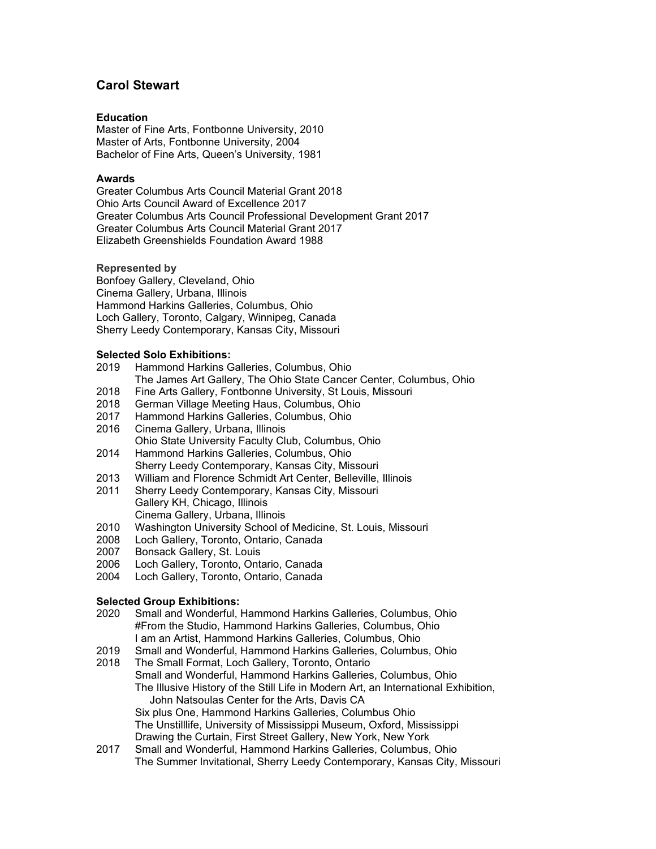# **Carol Stewart**

## **Education**

Master of Fine Arts, Fontbonne University, 2010 Master of Arts, Fontbonne University, 2004 Bachelor of Fine Arts, Queen's University, 1981

#### **Awards**

Greater Columbus Arts Council Material Grant 2018 Ohio Arts Council Award of Excellence 2017 Greater Columbus Arts Council Professional Development Grant 2017 Greater Columbus Arts Council Material Grant 2017 Elizabeth Greenshields Foundation Award 1988

#### **Represented by**

Bonfoey Gallery, Cleveland, Ohio Cinema Gallery, Urbana, Illinois Hammond Harkins Galleries, [Columbus,](http://www.hammondharkins.com/) Ohio Loch Gallery, Toronto, Calgary, [Winnipeg,](http://www.lochgallery.com/) Canada Sherry Leedy [Contemporary,](http://www.sherryleedy.com/) Kansas City, Missouri

#### **Selected Solo Exhibitions:**

- 2019 Hammond Harkins Galleries, Columbus, Ohio
- The James Art Gallery, The Ohio State Cancer Center, Columbus, Ohio
- 2018 Fine Arts Gallery, Fontbonne University, St Louis, Missouri
- German Village Meeting Haus, Columbus, Ohio
- 2017 Hammond Harkins Galleries, Columbus, Ohio
- 2016 Cinema Gallery, Urbana, Illinois Ohio State University Faculty Club, Columbus, Ohio Hammond Harkins Galleries, Columbus, Ohio
- Sherry Leedy Contemporary, Kansas City, Missouri
- 2013 William and Florence Schmidt Art Center, Belleville, Illinois
- 2011 Sherry Leedy Contemporary, Kansas City, Missouri Gallery KH, Chicago, Illinois Cinema Gallery, Urbana, Illinois
- 2010 Washington University School of Medicine, St. Louis, Missouri
- 2008 Loch Gallery, Toronto, Ontario, Canada
- 2007 Bonsack Gallery, St. Louis<br>2006 Loch Gallery, Toronto, Ont
- Loch Gallery, Toronto, Ontario, Canada
- 2004 Loch Gallery, Toronto, Ontario, Canada

# **Selected Group Exhibitions:**

- 2020Small and Wonderful, Hammond Harkins Galleries, Columbus, Ohio #From the Studio, Hammond Harkins Galleries, Columbus, Ohio I am an Artist, Hammond Harkins Galleries, Columbus, Ohio
- 2019 Small and Wonderful, Hammond Harkins Galleries, Columbus, Ohio
- The Small Format, Loch Gallery, Toronto, Ontario Small and Wonderful, Hammond Harkins Galleries, Columbus, Ohio The Illusive History of the Still Life in Modern Art, an International Exhibition, John Natsoulas Center for the Arts, Davis CA Six plus One, Hammond Harkins Galleries, Columbus Ohio The Unstilllife, University of Mississippi Museum, Oxford, Mississippi Drawing the Curtain, First Street Gallery, New York, New York
- 2017 Small and Wonderful, Hammond Harkins Galleries, Columbus, Ohio The Summer Invitational, Sherry Leedy Contemporary, Kansas City, Missouri